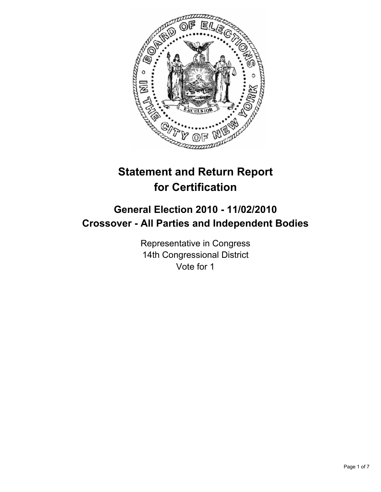

# **Statement and Return Report for Certification**

## **General Election 2010 - 11/02/2010 Crossover - All Parties and Independent Bodies**

Representative in Congress 14th Congressional District Vote for 1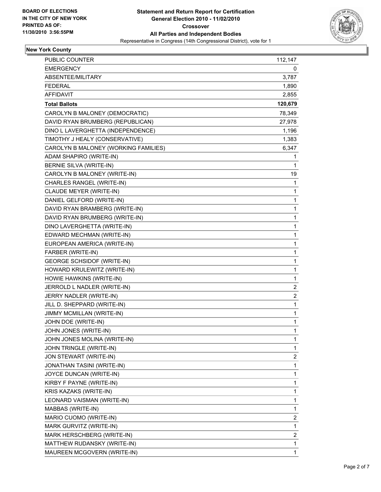

## **New York County**

| <b>PUBLIC COUNTER</b>                | 112,147 |
|--------------------------------------|---------|
| <b>EMERGENCY</b>                     | 0       |
| ABSENTEE/MILITARY                    | 3,787   |
| <b>FEDERAL</b>                       | 1,890   |
| <b>AFFIDAVIT</b>                     | 2,855   |
| <b>Total Ballots</b>                 | 120,679 |
| CAROLYN B MALONEY (DEMOCRATIC)       | 78,349  |
| DAVID RYAN BRUMBERG (REPUBLICAN)     | 27,978  |
| DINO L LAVERGHETTA (INDEPENDENCE)    | 1,196   |
| TIMOTHY J HEALY (CONSERVATIVE)       | 1,383   |
| CAROLYN B MALONEY (WORKING FAMILIES) | 6,347   |
| ADAM SHAPIRO (WRITE-IN)              | 1       |
| BERNIE SILVA (WRITE-IN)              | 1       |
| CAROLYN B MALONEY (WRITE-IN)         | 19      |
| CHARLES RANGEL (WRITE-IN)            | 1       |
| CLAUDE MEYER (WRITE-IN)              | 1       |
| DANIEL GELFORD (WRITE-IN)            | 1       |
| DAVID RYAN BRAMBERG (WRITE-IN)       | 1       |
| DAVID RYAN BRUMBERG (WRITE-IN)       | 1       |
| DINO LAVERGHETTA (WRITE-IN)          | 1       |
| EDWARD MECHMAN (WRITE-IN)            | 1       |
| EUROPEAN AMERICA (WRITE-IN)          | 1       |
| FARBER (WRITE-IN)                    | 1       |
| <b>GEORGE SCHSIDOF (WRITE-IN)</b>    | 1       |
| HOWARD KRULEWITZ (WRITE-IN)          | 1       |
| HOWIE HAWKINS (WRITE-IN)             | 1       |
| JERROLD L NADLER (WRITE-IN)          | 2       |
| JERRY NADLER (WRITE-IN)              | 2       |
| JILL D. SHEPPARD (WRITE-IN)          | 1       |
| JIMMY MCMILLAN (WRITE-IN)            | 1       |
| JOHN DOE (WRITE-IN)                  | 1       |
| JOHN JONES (WRITE-IN)                | 1       |
| JOHN JONES MOLINA (WRITE-IN)         | 1       |
| JOHN TRINGLE (WRITE-IN)              | 1       |
| JON STEWART (WRITE-IN)               | 2       |
| JONATHAN TASINI (WRITE-IN)           | 1       |
| JOYCE DUNCAN (WRITE-IN)              | 1       |
| KIRBY F PAYNE (WRITE-IN)             | 1       |
| KRIS KAZAKS (WRITE-IN)               | 1       |
| LEONARD VAISMAN (WRITE-IN)           | 1       |
| MABBAS (WRITE-IN)                    | 1       |
| MARIO CUOMO (WRITE-IN)               | 2       |
| MARK GURVITZ (WRITE-IN)              | 1       |
| MARK HERSCHBERG (WRITE-IN)           | 2       |
| MATTHEW RUDANSKY (WRITE-IN)          | 1       |
| MAUREEN MCGOVERN (WRITE-IN)          | 1       |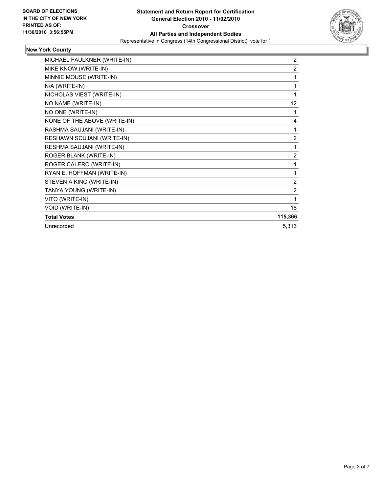

## **New York County**

| MICHAEL FAULKNER (WRITE-IN)  | $\overline{2}$    |
|------------------------------|-------------------|
| MIKE KNOW (WRITE-IN)         | $\overline{2}$    |
| MINNIE MOUSE (WRITE-IN)      | 1                 |
| N/A (WRITE-IN)               | 1                 |
| NICHOLAS VIEST (WRITE-IN)    | 1                 |
| NO NAME (WRITE-IN)           | $12 \overline{ }$ |
| NO ONE (WRITE-IN)            | 1                 |
| NONE OF THE ABOVE (WRITE-IN) | 4                 |
| RASHMA SAUJANI (WRITE-IN)    | 1                 |
| RESHAWN SCUJANI (WRITE-IN)   | $\overline{2}$    |
| RESHMA SAUJANI (WRITE-IN)    | 1                 |
| ROGER BLANK (WRITE-IN)       | $\overline{2}$    |
| ROGER CALERO (WRITE-IN)      | 1                 |
| RYAN E. HOFFMAN (WRITE-IN)   | 1                 |
| STEVEN A KING (WRITE-IN)     | $\overline{2}$    |
| TANYA YOUNG (WRITE-IN)       | $\overline{2}$    |
| VITO (WRITE-IN)              | 1                 |
| VOID (WRITE-IN)              | 18                |
| <b>Total Votes</b>           | 115,366           |
| Unrecorded                   | 5,313             |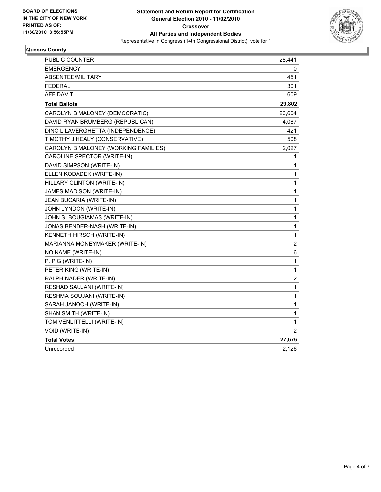

#### **Queens County**

| <b>PUBLIC COUNTER</b>                | 28,441                  |
|--------------------------------------|-------------------------|
| <b>EMERGENCY</b>                     | 0                       |
| <b>ABSENTEE/MILITARY</b>             | 451                     |
| <b>FEDERAL</b>                       | 301                     |
| AFFIDAVIT                            | 609                     |
| <b>Total Ballots</b>                 | 29,802                  |
| CAROLYN B MALONEY (DEMOCRATIC)       | 20,604                  |
| DAVID RYAN BRUMBERG (REPUBLICAN)     | 4,087                   |
| DINO L LAVERGHETTA (INDEPENDENCE)    | 421                     |
| TIMOTHY J HEALY (CONSERVATIVE)       | 508                     |
| CAROLYN B MALONEY (WORKING FAMILIES) | 2,027                   |
| CAROLINE SPECTOR (WRITE-IN)          | 1                       |
| DAVID SIMPSON (WRITE-IN)             | 1                       |
| ELLEN KODADEK (WRITE-IN)             | 1                       |
| HILLARY CLINTON (WRITE-IN)           | $\mathbf{1}$            |
| JAMES MADISON (WRITE-IN)             | 1                       |
| JEAN BUCARIA (WRITE-IN)              | 1                       |
| JOHN LYNDON (WRITE-IN)               | 1                       |
| JOHN S. BOUGIAMAS (WRITE-IN)         | $\mathbf{1}$            |
| JONAS BENDER-NASH (WRITE-IN)         | 1                       |
| KENNETH HIRSCH (WRITE-IN)            | $\mathbf{1}$            |
| MARIANNA MONEYMAKER (WRITE-IN)       | $\overline{\mathbf{c}}$ |
| NO NAME (WRITE-IN)                   | 6                       |
| P. PIG (WRITE-IN)                    | 1                       |
| PETER KING (WRITE-IN)                | 1                       |
| RALPH NADER (WRITE-IN)               | $\mathbf 2$             |
| RESHAD SAUJANI (WRITE-IN)            | $\mathbf{1}$            |
| RESHMA SOUJANI (WRITE-IN)            | 1                       |
| SARAH JANOCH (WRITE-IN)              | 1                       |
| SHAN SMITH (WRITE-IN)                | 1                       |
| TOM VENLITTELLI (WRITE-IN)           | 1                       |
| VOID (WRITE-IN)                      | 2                       |
| <b>Total Votes</b>                   | 27,676                  |
| Unrecorded                           | 2,126                   |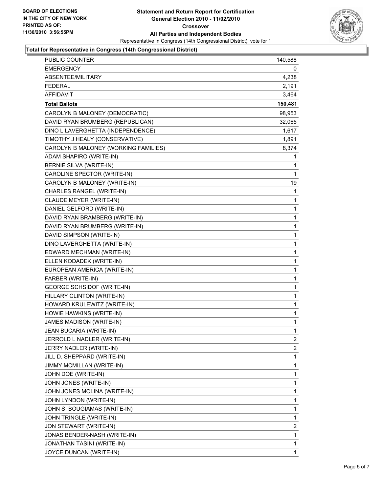

#### **Total for Representative in Congress (14th Congressional District)**

| PUBLIC COUNTER                       | 140,588      |
|--------------------------------------|--------------|
| <b>EMERGENCY</b>                     | 0            |
| ABSENTEE/MILITARY                    | 4,238        |
| <b>FEDERAL</b>                       | 2,191        |
| AFFIDAVIT                            | 3,464        |
| <b>Total Ballots</b>                 | 150,481      |
| CAROLYN B MALONEY (DEMOCRATIC)       | 98,953       |
| DAVID RYAN BRUMBERG (REPUBLICAN)     | 32,065       |
| DINO L LAVERGHETTA (INDEPENDENCE)    | 1,617        |
| TIMOTHY J HEALY (CONSERVATIVE)       | 1,891        |
| CAROLYN B MALONEY (WORKING FAMILIES) | 8,374        |
| ADAM SHAPIRO (WRITE-IN)              | 1            |
| BERNIE SILVA (WRITE-IN)              | 1            |
| CAROLINE SPECTOR (WRITE-IN)          | $\mathbf{1}$ |
| CAROLYN B MALONEY (WRITE-IN)         | 19           |
| CHARLES RANGEL (WRITE-IN)            | 1            |
| CLAUDE MEYER (WRITE-IN)              | 1            |
| DANIEL GELFORD (WRITE-IN)            | 1            |
| DAVID RYAN BRAMBERG (WRITE-IN)       | 1            |
| DAVID RYAN BRUMBERG (WRITE-IN)       | $\mathbf{1}$ |
| DAVID SIMPSON (WRITE-IN)             | 1            |
| DINO LAVERGHETTA (WRITE-IN)          | 1            |
| EDWARD MECHMAN (WRITE-IN)            | 1            |
| ELLEN KODADEK (WRITE-IN)             | 1            |
| EUROPEAN AMERICA (WRITE-IN)          | 1            |
| FARBER (WRITE-IN)                    | $\mathbf{1}$ |
| <b>GEORGE SCHSIDOF (WRITE-IN)</b>    | 1            |
| HILLARY CLINTON (WRITE-IN)           | 1            |
| HOWARD KRULEWITZ (WRITE-IN)          | 1            |
| HOWIE HAWKINS (WRITE-IN)             | 1            |
| JAMES MADISON (WRITE-IN)             | 1            |
| JEAN BUCARIA (WRITE-IN)              | $\mathbf{1}$ |
| JERROLD L NADLER (WRITE-IN)          | 2            |
| JERRY NADLER (WRITE-IN)              | 2            |
| JILL D. SHEPPARD (WRITE-IN)          | 1            |
| JIMMY MCMILLAN (WRITE-IN)            | 1            |
| JOHN DOE (WRITE-IN)                  | 1            |
| JOHN JONES (WRITE-IN)                | 1            |
| JOHN JONES MOLINA (WRITE-IN)         | 1            |
| JOHN LYNDON (WRITE-IN)               | 1            |
| JOHN S. BOUGIAMAS (WRITE-IN)         | 1            |
| JOHN TRINGLE (WRITE-IN)              | 1            |
| JON STEWART (WRITE-IN)               | 2            |
| JONAS BENDER-NASH (WRITE-IN)         | 1            |
| JONATHAN TASINI (WRITE-IN)           | 1            |
| JOYCE DUNCAN (WRITE-IN)              | 1            |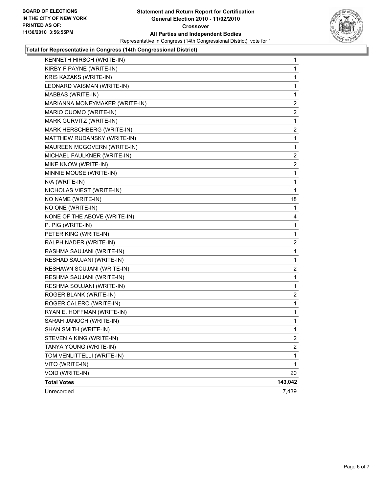

#### **Total for Representative in Congress (14th Congressional District)**

| $\mathbf{1}$            |
|-------------------------|
| 1                       |
| 1                       |
| 1                       |
| 1                       |
| 2                       |
| 2                       |
| 1                       |
| 2                       |
| 1                       |
| 1                       |
| 2                       |
| 2                       |
| 1                       |
| 1                       |
| 1                       |
| 18                      |
| 1                       |
| 4                       |
| 1                       |
| 1                       |
| 2                       |
| 1                       |
| 1                       |
| 2                       |
| 1                       |
| 1                       |
| 2                       |
| 1                       |
| 1                       |
| 1                       |
| $\mathbf 1$             |
| 2                       |
| $\overline{\mathbf{c}}$ |
| 1                       |
| 1                       |
| 20                      |
| 143,042                 |
| 7,439                   |
|                         |